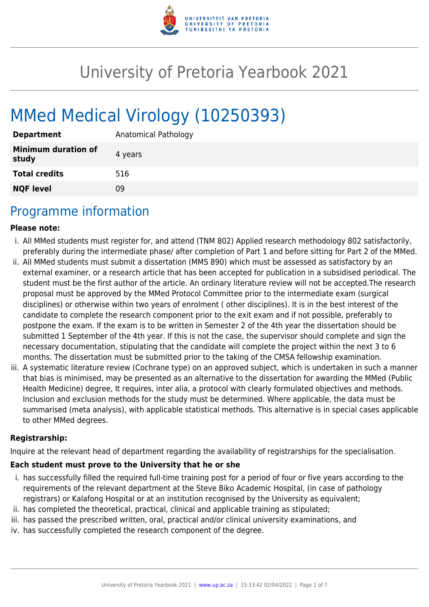

# University of Pretoria Yearbook 2021

# MMed Medical Virology (10250393)

| <b>Department</b>                   | Anatomical Pathology |
|-------------------------------------|----------------------|
| <b>Minimum duration of</b><br>study | 4 years              |
| <b>Total credits</b>                | 516                  |
| <b>NQF level</b>                    | 09                   |

### Programme information

#### **Please note:**

- i. All MMed students must register for, and attend (TNM 802) Applied research methodology 802 satisfactorily, preferably during the intermediate phase/ after completion of Part 1 and before sitting for Part 2 of the MMed.
- ii. All MMed students must submit a dissertation (MMS 890) which must be assessed as satisfactory by an external examiner, or a research article that has been accepted for publication in a subsidised periodical. The student must be the first author of the article. An ordinary literature review will not be accepted.The research proposal must be approved by the MMed Protocol Committee prior to the intermediate exam (surgical disciplines) or otherwise within two years of enrolment ( other disciplines). It is in the best interest of the candidate to complete the research component prior to the exit exam and if not possible, preferably to postpone the exam. If the exam is to be written in Semester 2 of the 4th year the dissertation should be submitted 1 September of the 4th year. If this is not the case, the supervisor should complete and sign the necessary documentation, stipulating that the candidate will complete the project within the next 3 to 6 months. The dissertation must be submitted prior to the taking of the CMSA fellowship examination.
- iii. A systematic literature review (Cochrane type) on an approved subject, which is undertaken in such a manner that bias is minimised, may be presented as an alternative to the dissertation for awarding the MMed (Public Health Medicine) degree, It requires, inter alia, a protocol with clearly formulated objectives and methods. Inclusion and exclusion methods for the study must be determined. Where applicable, the data must be summarised (meta analysis), with applicable statistical methods. This alternative is in special cases applicable to other MMed degrees.

#### **Registrarship:**

Inquire at the relevant head of department regarding the availability of registrarships for the specialisation.

#### **Each student must prove to the University that he or she**

- i. has successfully filled the required full-time training post for a period of four or five years according to the requirements of the relevant department at the Steve Biko Academic Hospital, (in case of pathology registrars) or Kalafong Hospital or at an institution recognised by the University as equivalent;
- ii. has completed the theoretical, practical, clinical and applicable training as stipulated;
- iii. has passed the prescribed written, oral, practical and/or clinical university examinations, and
- iv. has successfully completed the research component of the degree.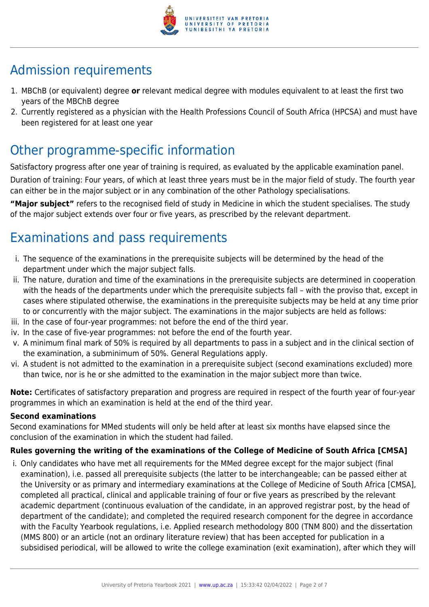

# Admission requirements

- 1. MBChB (or equivalent) degree **or** relevant medical degree with modules equivalent to at least the first two years of the MBChB degree
- 2. Currently registered as a physician with the Health Professions Council of South Africa (HPCSA) and must have been registered for at least one year

# Other programme-specific information

Satisfactory progress after one year of training is required, as evaluated by the applicable examination panel. Duration of training: Four years, of which at least three years must be in the major field of study. The fourth year can either be in the major subject or in any combination of the other Pathology specialisations.

**"Major subject"** refers to the recognised field of study in Medicine in which the student specialises. The study of the major subject extends over four or five years, as prescribed by the relevant department.

# Examinations and pass requirements

- i. The sequence of the examinations in the prerequisite subjects will be determined by the head of the department under which the major subject falls.
- ii. The nature, duration and time of the examinations in the prerequisite subjects are determined in cooperation with the heads of the departments under which the prerequisite subjects fall – with the proviso that, except in cases where stipulated otherwise, the examinations in the prerequisite subjects may be held at any time prior to or concurrently with the major subject. The examinations in the major subjects are held as follows:
- iii. In the case of four-year programmes: not before the end of the third year.
- iv. In the case of five-year programmes: not before the end of the fourth year.
- v. A minimum final mark of 50% is required by all departments to pass in a subject and in the clinical section of the examination, a subminimum of 50%. General Regulations apply.
- vi. A student is not admitted to the examination in a prerequisite subject (second examinations excluded) more than twice, nor is he or she admitted to the examination in the major subject more than twice.

**Note:** Certificates of satisfactory preparation and progress are required in respect of the fourth year of four-year programmes in which an examination is held at the end of the third year.

#### **Second examinations**

Second examinations for MMed students will only be held after at least six months have elapsed since the conclusion of the examination in which the student had failed.

#### **Rules governing the writing of the examinations of the College of Medicine of South Africa [CMSA]**

i. Only candidates who have met all requirements for the MMed degree except for the major subject (final examination), i.e. passed all prerequisite subjects (the latter to be interchangeable; can be passed either at the University or as primary and intermediary examinations at the College of Medicine of South Africa [CMSA], completed all practical, clinical and applicable training of four or five years as prescribed by the relevant academic department (continuous evaluation of the candidate, in an approved registrar post, by the head of department of the candidate); and completed the required research component for the degree in accordance with the Faculty Yearbook regulations, i.e. Applied research methodology 800 (TNM 800) and the dissertation (MMS 800) or an article (not an ordinary literature review) that has been accepted for publication in a subsidised periodical, will be allowed to write the college examination (exit examination), after which they will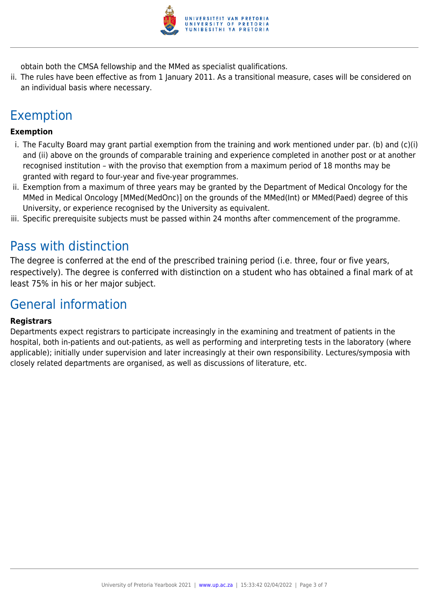

obtain both the CMSA fellowship and the MMed as specialist qualifications.

ii. The rules have been effective as from 1 January 2011. As a transitional measure, cases will be considered on an individual basis where necessary.

# Exemption

#### **Exemption**

- i. The Faculty Board may grant partial exemption from the training and work mentioned under par. (b) and (c)(i) and (ii) above on the grounds of comparable training and experience completed in another post or at another recognised institution – with the proviso that exemption from a maximum period of 18 months may be granted with regard to four-year and five-year programmes.
- ii. Exemption from a maximum of three years may be granted by the Department of Medical Oncology for the MMed in Medical Oncology [MMed(MedOnc)] on the grounds of the MMed(Int) or MMed(Paed) degree of this University, or experience recognised by the University as equivalent.
- iii. Specific prerequisite subjects must be passed within 24 months after commencement of the programme.

### Pass with distinction

The degree is conferred at the end of the prescribed training period (i.e. three, four or five years, respectively). The degree is conferred with distinction on a student who has obtained a final mark of at least 75% in his or her major subject.

### General information

#### **Registrars**

Departments expect registrars to participate increasingly in the examining and treatment of patients in the hospital, both in-patients and out-patients, as well as performing and interpreting tests in the laboratory (where applicable); initially under supervision and later increasingly at their own responsibility. Lectures/symposia with closely related departments are organised, as well as discussions of literature, etc.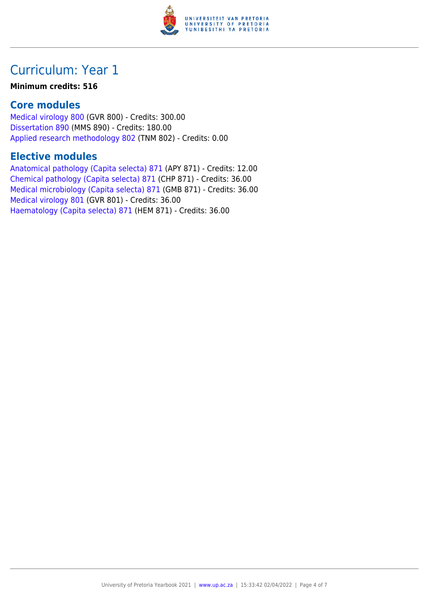

# Curriculum: Year 1

#### **Minimum credits: 516**

### **Core modules**

[Medical virology 800](https://www.up.ac.za/parents/yearbooks/2021/modules/view/GVR 800) (GVR 800) - Credits: 300.00 [Dissertation 890](https://www.up.ac.za/parents/yearbooks/2021/modules/view/MMS 890) (MMS 890) - Credits: 180.00 [Applied research methodology 802](https://www.up.ac.za/parents/yearbooks/2021/modules/view/TNM 802) (TNM 802) - Credits: 0.00

### **Elective modules**

[Anatomical pathology \(Capita selecta\) 871](https://www.up.ac.za/parents/yearbooks/2021/modules/view/APY 871) (APY 871) - Credits: 12.00 [Chemical pathology \(Capita selecta\) 871](https://www.up.ac.za/parents/yearbooks/2021/modules/view/CHP 871) (CHP 871) - Credits: 36.00 [Medical microbiology \(Capita selecta\) 871](https://www.up.ac.za/parents/yearbooks/2021/modules/view/GMB 871) (GMB 871) - Credits: 36.00 [Medical virology 801](https://www.up.ac.za/parents/yearbooks/2021/modules/view/GVR 801) (GVR 801) - Credits: 36.00 [Haematology \(Capita selecta\) 871](https://www.up.ac.za/parents/yearbooks/2021/modules/view/HEM 871) (HEM 871) - Credits: 36.00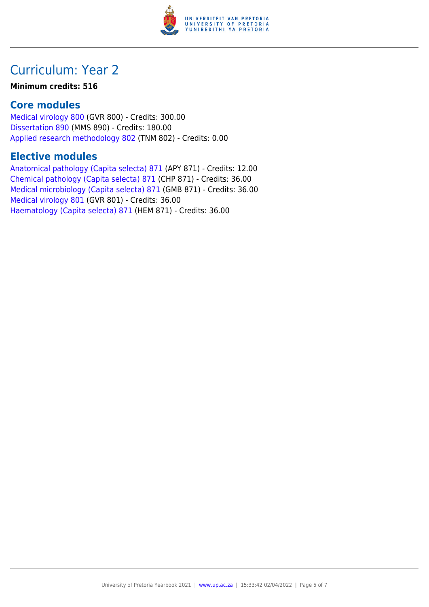

# Curriculum: Year 2

#### **Minimum credits: 516**

### **Core modules**

[Medical virology 800](https://www.up.ac.za/parents/yearbooks/2021/modules/view/GVR 800) (GVR 800) - Credits: 300.00 [Dissertation 890](https://www.up.ac.za/parents/yearbooks/2021/modules/view/MMS 890) (MMS 890) - Credits: 180.00 [Applied research methodology 802](https://www.up.ac.za/parents/yearbooks/2021/modules/view/TNM 802) (TNM 802) - Credits: 0.00

### **Elective modules**

[Anatomical pathology \(Capita selecta\) 871](https://www.up.ac.za/parents/yearbooks/2021/modules/view/APY 871) (APY 871) - Credits: 12.00 [Chemical pathology \(Capita selecta\) 871](https://www.up.ac.za/parents/yearbooks/2021/modules/view/CHP 871) (CHP 871) - Credits: 36.00 [Medical microbiology \(Capita selecta\) 871](https://www.up.ac.za/parents/yearbooks/2021/modules/view/GMB 871) (GMB 871) - Credits: 36.00 [Medical virology 801](https://www.up.ac.za/parents/yearbooks/2021/modules/view/GVR 801) (GVR 801) - Credits: 36.00 [Haematology \(Capita selecta\) 871](https://www.up.ac.za/parents/yearbooks/2021/modules/view/HEM 871) (HEM 871) - Credits: 36.00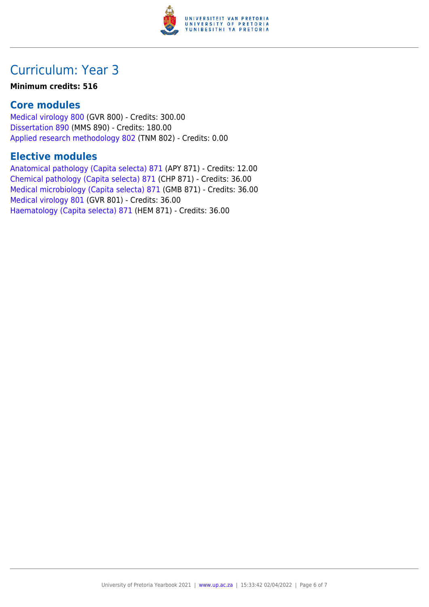

# Curriculum: Year 3

#### **Minimum credits: 516**

### **Core modules**

[Medical virology 800](https://www.up.ac.za/parents/yearbooks/2021/modules/view/GVR 800) (GVR 800) - Credits: 300.00 [Dissertation 890](https://www.up.ac.za/parents/yearbooks/2021/modules/view/MMS 890) (MMS 890) - Credits: 180.00 [Applied research methodology 802](https://www.up.ac.za/parents/yearbooks/2021/modules/view/TNM 802) (TNM 802) - Credits: 0.00

### **Elective modules**

[Anatomical pathology \(Capita selecta\) 871](https://www.up.ac.za/parents/yearbooks/2021/modules/view/APY 871) (APY 871) - Credits: 12.00 [Chemical pathology \(Capita selecta\) 871](https://www.up.ac.za/parents/yearbooks/2021/modules/view/CHP 871) (CHP 871) - Credits: 36.00 [Medical microbiology \(Capita selecta\) 871](https://www.up.ac.za/parents/yearbooks/2021/modules/view/GMB 871) (GMB 871) - Credits: 36.00 [Medical virology 801](https://www.up.ac.za/parents/yearbooks/2021/modules/view/GVR 801) (GVR 801) - Credits: 36.00 [Haematology \(Capita selecta\) 871](https://www.up.ac.za/parents/yearbooks/2021/modules/view/HEM 871) (HEM 871) - Credits: 36.00